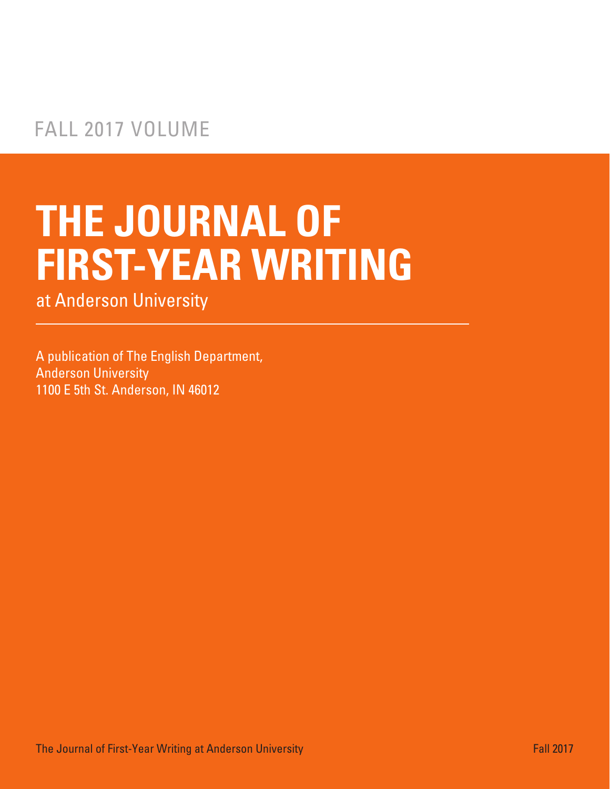# **THE JOURNAL OF FIRST-YEAR WRITING**

at Anderson University

A publication of The English Department, Anderson University 1100 E 5th St. Anderson, IN 46012

The Journal of First-Year Writing at Anderson University Fall 2017 and The South 2017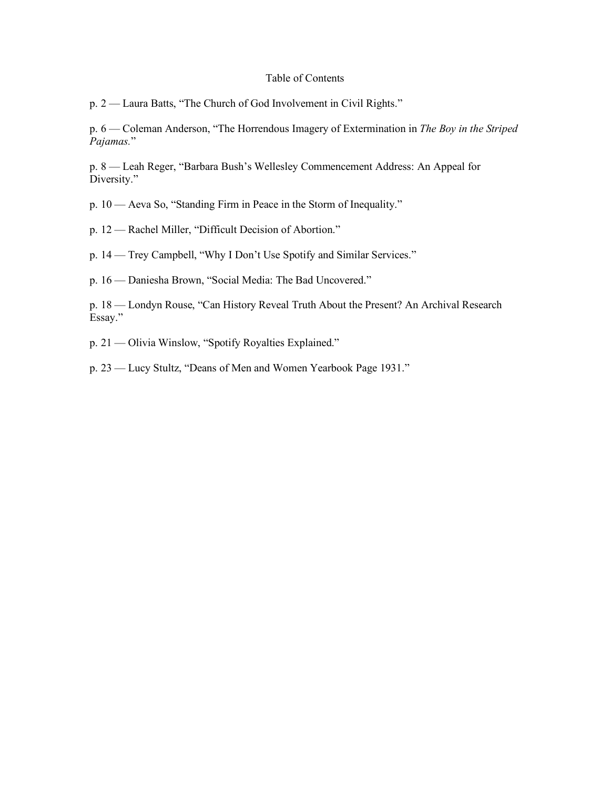#### Table of Contents

p. 2 — Laura Batts, "The Church of God Involvement in Civil Rights."

 p. 6 — Coleman Anderson, "The Horrendous Imagery of Extermination in *The Boy in the Striped*  Pajamas." *Pajamas."*<br>p. 8 — Leah Reger, "Barbara Bush's Wellesley Commencement Address: An Appeal for

Diversity."

p. 10 — Aeva So, "Standing Firm in Peace in the Storm of Inequality."

p. 12 — Rachel Miller, "Difficult Decision of Abortion."

p. 14 — Trey Campbell, "Why I Don't Use Spotify and Similar Services."

p. 16 — Daniesha Brown, "Social Media: The Bad Uncovered."

 p. 18 — Londyn Rouse, "Can History Reveal Truth About the Present? An Archival Research Essay."

p. 21 — Olivia Winslow, "Spotify Royalties Explained."

p. 23 — Lucy Stultz, "Deans of Men and Women Yearbook Page 1931."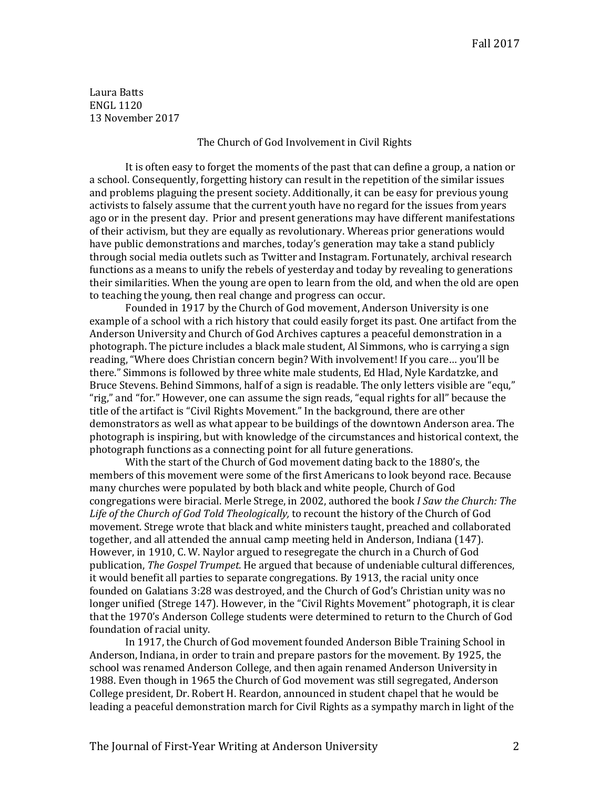Laura Batts ENGL 1120 13 November 2017

### The Church of God Involvement in Civil Rights

 It is often easy to forget the moments of the past that can define a group, a nation or a school. Consequently, forgetting history can result in the repetition of the similar issues and problems plaguing the present society. Additionally, it can be easy for previous young activists to falsely assume that the current youth have no regard for the issues from years ago or in the present day. Prior and present generations may have different manifestations of their activism, but they are equally as revolutionary. Whereas prior generations would have public demonstrations and marches, today's generation may take a stand publicly through social media outlets such as Twitter and Instagram. Fortunately, archival research functions as a means to unify the rebels of yesterday and today by revealing to generations their similarities. When the young are open to learn from the old, and when the old are open to teaching the young, then real change and progress can occur.

 Founded in 1917 by the Church of God movement, Anderson University is one example of a school with a rich history that could easily forget its past. One artifact from the Anderson University and Church of God Archives captures a peaceful demonstration in a photograph. The picture includes a black male student, Al Simmons, who is carrying a sign reading, "Where does Christian concern begin? With involvement! If you care… you'll be there." Simmons is followed by three white male students, Ed Hlad, Nyle Kardatzke, and Bruce Stevens. Behind Simmons, half of a sign is readable. The only letters visible are "equ," "rig," and "for." However, one can assume the sign reads, "equal rights for all" because the title of the artifact is "Civil Rights Movement." In the background, there are other demonstrators as well as what appear to be buildings of the downtown Anderson area. The photograph is inspiring, but with knowledge of the circumstances and historical context, the photograph functions as a connecting point for all future generations.

With the start of the Church of God movement dating back to the 1880's, the members of this movement were some of the first Americans to look beyond race. Because many churches were populated by both black and white people, Church of God  congregations were biracial. Merle Strege, in 2002, authored the book *I Saw the Church: The Life of the Church of God Told Theologically,* to recount the history of the Church of God movement. Strege wrote that black and white ministers taught, preached and collaborated together, and all attended the annual camp meeting held in Anderson, Indiana (147). However, in 1910, C. W. Naylor argued to resegregate the church in a Church of God publication, *The Gospel Trumpet.* He argued that because of undeniable cultural differences, it would benefit all parties to separate congregations. By 1913, the racial unity once founded on Galatians 3:28 was destroyed, and the Church of God's Christian unity was no longer unified (Strege 147). However, in the "Civil Rights Movement" photograph, it is clear that the 1970's Anderson College students were determined to return to the Church of God foundation of racial unity.

 In 1917, the Church of God movement founded Anderson Bible Training School in Anderson, Indiana, in order to train and prepare pastors for the movement. By 1925, the school was renamed Anderson College, and then again renamed Anderson University in 1988. Even though in 1965 the Church of God movement was still segregated, Anderson College president, Dr. Robert H. Reardon, announced in student chapel that he would be leading a peaceful demonstration march for Civil Rights as a sympathy march in light of the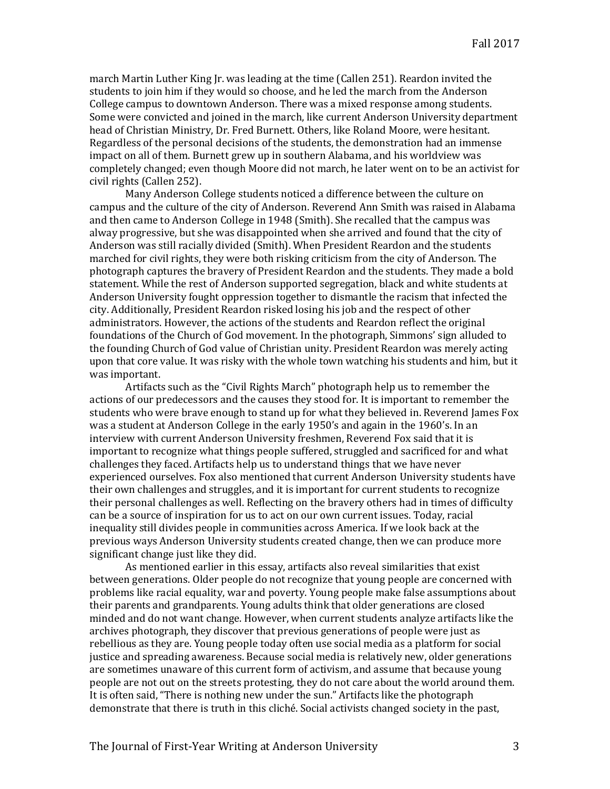march Martin Luther King Jr. was leading at the time (Callen 251). Reardon invited the students to join him if they would so choose, and he led the march from the Anderson College campus to downtown Anderson. There was a mixed response among students. Some were convicted and joined in the march, like current Anderson University department head of Christian Ministry, Dr. Fred Burnett. Others, like Roland Moore, were hesitant. Regardless of the personal decisions of the students, the demonstration had an immense impact on all of them. Burnett grew up in southern Alabama, and his worldview was completely changed; even though Moore did not march, he later went on to be an activist for civil rights (Callen 252).

 Many Anderson College students noticed a difference between the culture on campus and the culture of the city of Anderson. Reverend Ann Smith was raised in Alabama and then came to Anderson College in 1948 (Smith). She recalled that the campus was alway progressive, but she was disappointed when she arrived and found that the city of Anderson was still racially divided (Smith). When President Reardon and the students marched for civil rights, they were both risking criticism from the city of Anderson. The photograph captures the bravery of President Reardon and the students. They made a bold statement. While the rest of Anderson supported segregation, black and white students at Anderson University fought oppression together to dismantle the racism that infected the city. Additionally, President Reardon risked losing his job and the respect of other administrators. However, the actions of the students and Reardon reflect the original foundations of the Church of God movement. In the photograph, Simmons' sign alluded to the founding Church of God value of Christian unity. President Reardon was merely acting upon that core value. It was risky with the whole town watching his students and him, but it was important.

 Artifacts such as the "Civil Rights March" photograph help us to remember the actions of our predecessors and the causes they stood for. It is important to remember the students who were brave enough to stand up for what they believed in. Reverend James Fox was a student at Anderson College in the early 1950's and again in the 1960's. In an interview with current Anderson University freshmen, Reverend Fox said that it is important to recognize what things people suffered, struggled and sacrificed for and what challenges they faced. Artifacts help us to understand things that we have never experienced ourselves. Fox also mentioned that current Anderson University students have their own challenges and struggles, and it is important for current students to recognize their personal challenges as well. Reflecting on the bravery others had in times of difficulty can be a source of inspiration for us to act on our own current issues. Today, racial inequality still divides people in communities across America. If we look back at the previous ways Anderson University students created change, then we can produce more significant change just like they did.

As mentioned earlier in this essay, artifacts also reveal similarities that exist between generations. Older people do not recognize that young people are concerned with problems like racial equality, war and poverty. Young people make false assumptions about their parents and grandparents. Young adults think that older generations are closed minded and do not want change. However, when current students analyze artifacts like the archives photograph, they discover that previous generations of people were just as rebellious as they are. Young people today often use social media as a platform for social justice and spreading awareness. Because social media is relatively new, older generations are sometimes unaware of this current form of activism, and assume that because young people are not out on the streets protesting, they do not care about the world around them. It is often said, "There is nothing new under the sun." Artifacts like the photograph demonstrate that there is truth in this cliché. Social activists changed society in the past,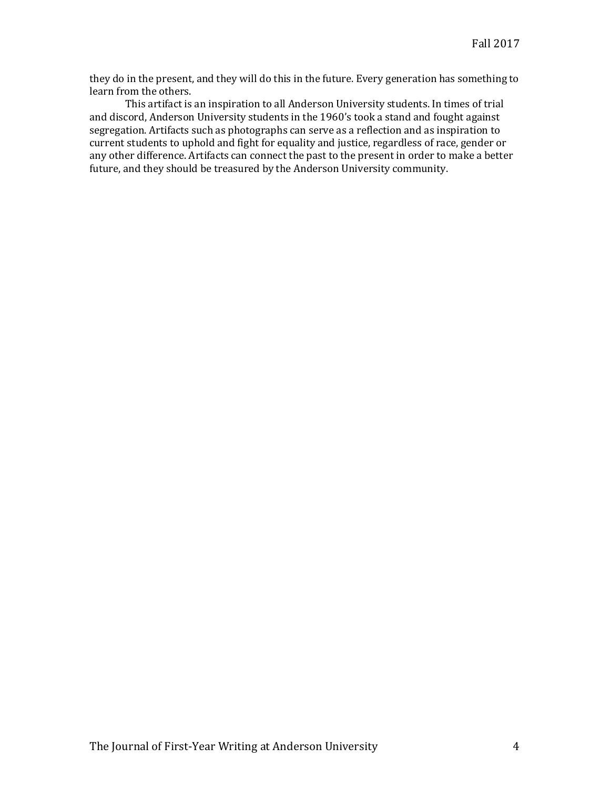they do in the present, and they will do this in the future. Every generation has something to learn from the others.

 This artifact is an inspiration to all Anderson University students. In times of trial and discord, Anderson University students in the 1960's took a stand and fought against segregation. Artifacts such as photographs can serve as a reflection and as inspiration to current students to uphold and fight for equality and justice, regardless of race, gender or any other difference. Artifacts can connect the past to the present in order to make a better future, and they should be treasured by the Anderson University community.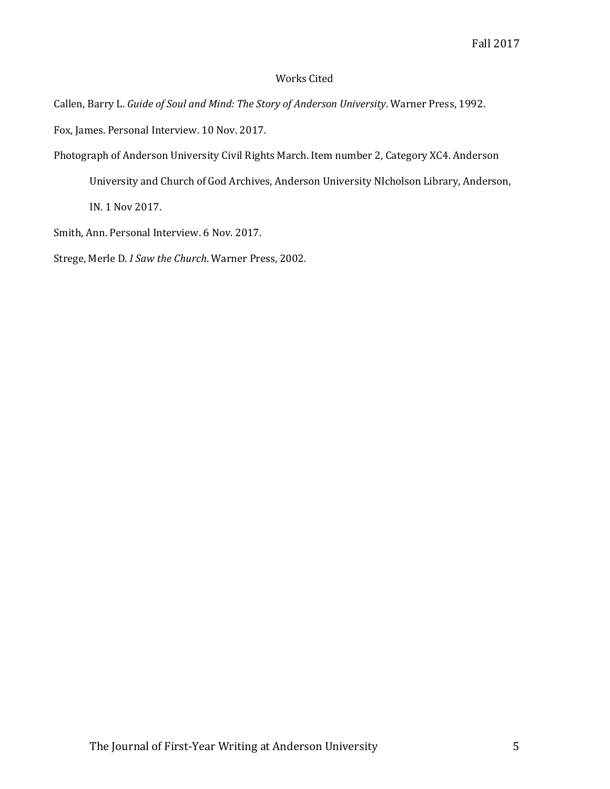# Works Cited

  Callen, Barry L. *Guide of Soul and Mind: The Story of Anderson University*. Warner Press, 1992.

 Fox, James. Personal Interview. 10 Nov. 2017.

Photograph of Anderson University Civil Rights March. Item number 2, Category XC4. Anderson University and Church of God Archives, Anderson University NIcholson Library, Anderson, IN. 1 Nov 2017.

 Smith, Ann. Personal Interview. 6 Nov. 2017.

  Strege, Merle D. *I Saw the Church*. Warner Press, 2002.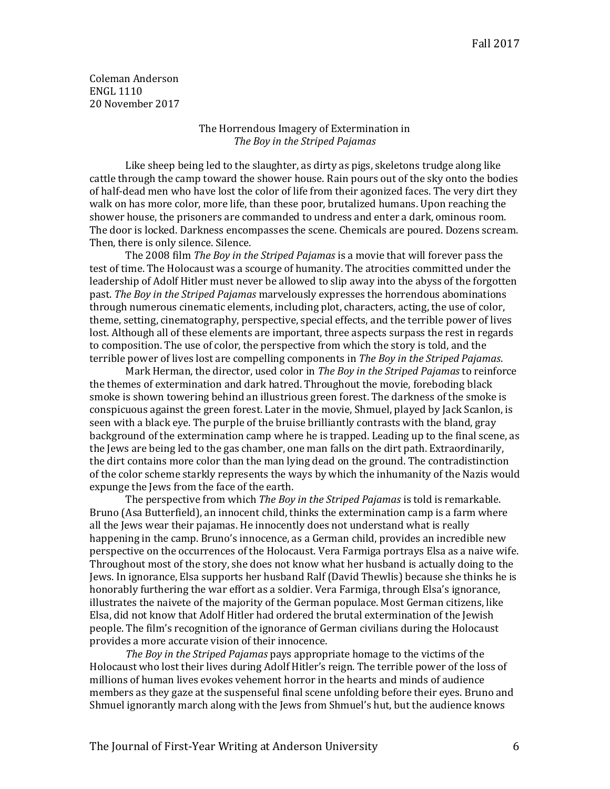Coleman Anderson ENGL 1110 20 November 2017

# The Horrendous Imagery of Extermination in  *The Boy in the Striped Pajamas*

 Like sheep being led to the slaughter, as dirty as pigs, skeletons trudge along like cattle through the camp toward the shower house. Rain pours out of the sky onto the bodies of half-dead men who have lost the color of life from their agonized faces. The very dirt they walk on has more color, more life, than these poor, brutalized humans. Upon reaching the shower house, the prisoners are commanded to undress and enter a dark, ominous room. The door is locked. Darkness encompasses the scene. Chemicals are poured. Dozens scream. Then, there is only silence. Silence.

*The 2008 film The Boy in the Striped Pajamas is a movie that will forever pass the* test of time. The Holocaust was a scourge of humanity. The atrocities committed under the leadership of Adolf Hitler must never be allowed to slip away into the abyss of the forgotten  past. *The Boy in the Striped Pajamas* marvelously expresses the horrendous abominations through numerous cinematic elements, including plot, characters, acting, the use of color, theme, setting, cinematography, perspective, special effects, and the terrible power of lives lost. Although all of these elements are important, three aspects surpass the rest in regards to composition. The use of color, the perspective from which the story is told, and the  terrible power of lives lost are compelling components in *The Boy in the Striped Pajamas*.

*Mark Herman, the director, used color in <i>The Boy in the Striped Pajamas to reinforce* the themes of extermination and dark hatred. Throughout the movie, foreboding black smoke is shown towering behind an illustrious green forest. The darkness of the smoke is conspicuous against the green forest. Later in the movie, Shmuel, played by Jack Scanlon, is seen with a black eye. The purple of the bruise brilliantly contrasts with the bland, gray background of the extermination camp where he is trapped. Leading up to the final scene, as the Jews are being led to the gas chamber, one man falls on the dirt path. Extraordinarily, the dirt contains more color than the man lying dead on the ground. The contradistinction of the color scheme starkly represents the ways by which the inhumanity of the Nazis would expunge the Jews from the face of the earth.

  The perspective from which *The Boy in the Striped Pajamas* is told is remarkable. all the Jews wear their pajamas. He innocently does not understand what is really happening in the camp. Bruno's innocence, as a German child, provides an incredible new perspective on the occurrences of the Holocaust. Vera Farmiga portrays Elsa as a naive wife. Throughout most of the story, she does not know what her husband is actually doing to the honorably furthering the war effort as a soldier. Vera Farmiga, through Elsa's ignorance, illustrates the naivete of the majority of the German populace. Most German citizens, like Elsa, did not know that Adolf Hitler had ordered the brutal extermination of the Jewish people. The film's recognition of the ignorance of German civilians during the Holocaust provides a more accurate vision of their innocence. Bruno (Asa Butterfield), an innocent child, thinks the extermination camp is a farm where Jews. In ignorance, Elsa supports her husband Ralf (David Thewlis) because she thinks he is

*The Boy in the Striped Pajamas pays appropriate homage to the victims of the*  Holocaust who lost their lives during Adolf Hitler's reign. The terrible power of the loss of millions of human lives evokes vehement horror in the hearts and minds of audience members as they gaze at the suspenseful final scene unfolding before their eyes. Bruno and Shmuel ignorantly march along with the Jews from Shmuel's hut, but the audience knows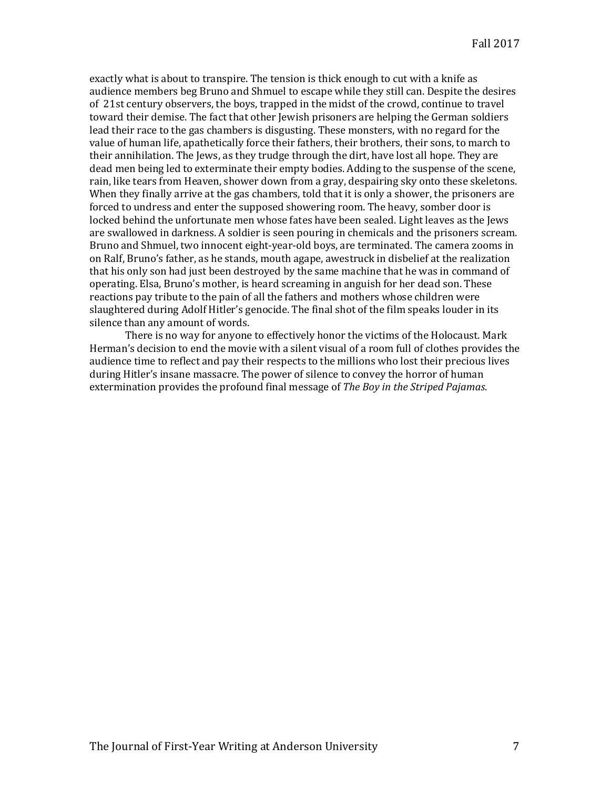exactly what is about to transpire. The tension is thick enough to cut with a knife as audience members beg Bruno and Shmuel to escape while they still can. Despite the desires of 21st century observers, the boys, trapped in the midst of the crowd, continue to travel toward their demise. The fact that other Jewish prisoners are helping the German soldiers lead their race to the gas chambers is disgusting. These monsters, with no regard for the value of human life, apathetically force their fathers, their brothers, their sons, to march to their annihilation. The Jews, as they trudge through the dirt, have lost all hope. They are dead men being led to exterminate their empty bodies. Adding to the suspense of the scene, rain, like tears from Heaven, shower down from a gray, despairing sky onto these skeletons. When they finally arrive at the gas chambers, told that it is only a shower, the prisoners are forced to undress and enter the supposed showering room. The heavy, somber door is locked behind the unfortunate men whose fates have been sealed. Light leaves as the Jews are swallowed in darkness. A soldier is seen pouring in chemicals and the prisoners scream. Bruno and Shmuel, two innocent eight-year-old boys, are terminated. The camera zooms in on Ralf, Bruno's father, as he stands, mouth agape, awestruck in disbelief at the realization that his only son had just been destroyed by the same machine that he was in command of operating. Elsa, Bruno's mother, is heard screaming in anguish for her dead son. These reactions pay tribute to the pain of all the fathers and mothers whose children were slaughtered during Adolf Hitler's genocide. The final shot of the film speaks louder in its silence than any amount of words.

 There is no way for anyone to effectively honor the victims of the Holocaust. Mark Herman's decision to end the movie with a silent visual of a room full of clothes provides the audience time to reflect and pay their respects to the millions who lost their precious lives during Hitler's insane massacre. The power of silence to convey the horror of human  extermination provides the profound final message of *The Boy in the Striped Pajamas.*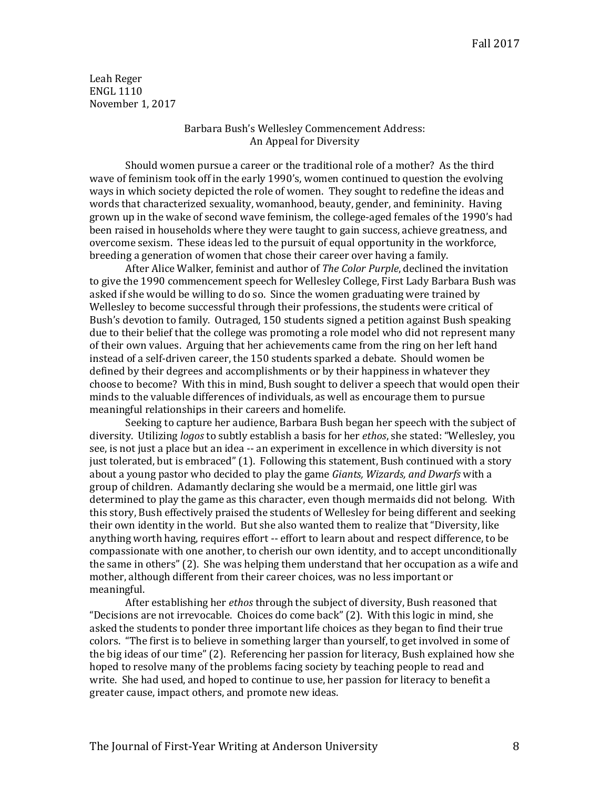November 1, 2017 Leah Reger ENGL 1110

# An Appeal for Diversity Barbara Bush's Wellesley Commencement Address:

 Should women pursue a career or the traditional role of a mother? As the third wave of feminism took off in the early 1990's, women continued to question the evolving ways in which society depicted the role of women. They sought to redefine the ideas and words that characterized sexuality, womanhood, beauty, gender, and femininity. Having grown up in the wake of second wave feminism, the college-aged females of the 1990's had been raised in households where they were taught to gain success, achieve greatness, and overcome sexism. These ideas led to the pursuit of equal opportunity in the workforce, breeding a generation of women that chose their career over having a family.

After Alice Walker, feminist and author of *The Color Purple*, declined the invitation to give the 1990 commencement speech for Wellesley College, First Lady Barbara Bush was asked if she would be willing to do so. Since the women graduating were trained by Wellesley to become successful through their professions, the students were critical of Bush's devotion to family. Outraged, 150 students signed a petition against Bush speaking due to their belief that the college was promoting a role model who did not represent many of their own values. Arguing that her achievements came from the ring on her left hand instead of a self-driven career, the 150 students sparked a debate. Should women be defined by their degrees and accomplishments or by their happiness in whatever they choose to become? With this in mind, Bush sought to deliver a speech that would open their minds to the valuable differences of individuals, as well as encourage them to pursue meaningful relationships in their careers and homelife.

 Seeking to capture her audience, Barbara Bush began her speech with the subject of diversity. Utilizing *logos* to subtly establish a basis for her *ethos*, she stated: "Wellesley, you see, is not just a place but an idea -- an experiment in excellence in which diversity is not just tolerated, but is embraced" (1). Following this statement, Bush continued with a story  about a young pastor who decided to play the game *Giants, Wizards, and Dwarfs* with a group of children. Adamantly declaring she would be a mermaid, one little girl was determined to play the game as this character, even though mermaids did not belong. With this story, Bush effectively praised the students of Wellesley for being different and seeking their own identity in the world. But she also wanted them to realize that "Diversity, like anything worth having, requires effort -- effort to learn about and respect difference, to be compassionate with one another, to cherish our own identity, and to accept unconditionally the same in others" (2). She was helping them understand that her occupation as a wife and mother, although different from their career choices, was no less important or meaningful.

After establishing her *ethos* through the subject of diversity, Bush reasoned that "Decisions are not irrevocable. Choices do come back" (2). With this logic in mind, she asked the students to ponder three important life choices as they began to find their true colors. "The first is to believe in something larger than yourself, to get involved in some of the big ideas of our time" (2). Referencing her passion for literacy, Bush explained how she hoped to resolve many of the problems facing society by teaching people to read and write. She had used, and hoped to continue to use, her passion for literacy to benefit a greater cause, impact others, and promote new ideas.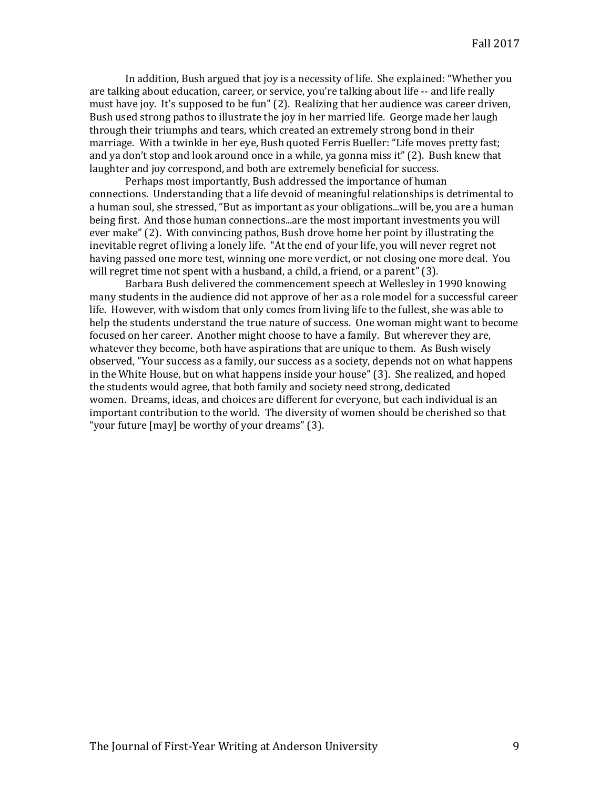In addition, Bush argued that joy is a necessity of life. She explained: "Whether you are talking about education, career, or service, you're talking about life -- and life really must have joy. It's supposed to be fun" (2). Realizing that her audience was career driven, Bush used strong pathos to illustrate the joy in her married life. George made her laugh through their triumphs and tears, which created an extremely strong bond in their marriage. With a twinkle in her eye, Bush quoted Ferris Bueller: "Life moves pretty fast; and ya don't stop and look around once in a while, ya gonna miss it" (2). Bush knew that laughter and joy correspond, and both are extremely beneficial for success.

 connections. Understanding that a life devoid of meaningful relationships is detrimental to a human soul, she stressed, "But as important as your obligations...will be, you are a human being first. And those human connections...are the most important investments you will ever make" (2). With convincing pathos, Bush drove home her point by illustrating the inevitable regret of living a lonely life. "At the end of your life, you will never regret not having passed one more test, winning one more verdict, or not closing one more deal. You will regret time not spent with a husband, a child, a friend, or a parent"(3). Perhaps most importantly, Bush addressed the importance of human

 many students in the audience did not approve of her as a role model for a successful career life. However, with wisdom that only comes from living life to the fullest, she was able to help the students understand the true nature of success. One woman might want to become focused on her career. Another might choose to have a family. But wherever they are, whatever they become, both have aspirations that are unique to them. As Bush wisely observed, "Your success as a family, our success as a society, depends not on what happens in the White House, but on what happens inside your house" (3). She realized, and hoped the students would agree, that both family and society need strong, dedicated women. Dreams, ideas, and choices are different for everyone, but each individual is an important contribution to the world. The diversity of women should be cherished so that "your future [may] be worthy of your dreams" (3). Barbara Bush delivered the commencement speech at Wellesley in 1990 knowing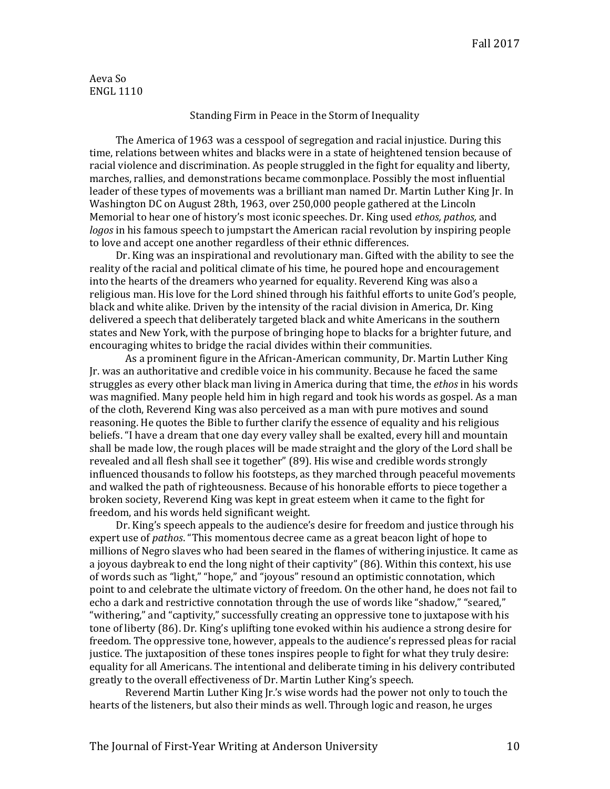Aeva So **ENGL 1110** 

#### Standing Firm in Peace in the Storm of Inequality

 The America of 1963 was a cesspool of segregation and racial injustice. During this time, relations between whites and blacks were in a state of heightened tension because of racial violence and discrimination. As people struggled in the fight for equality and liberty, marches, rallies, and demonstrations became commonplace. Possibly the most influential leader of these types of movements was a brilliant man named Dr. Martin Luther King Jr. In Washington DC on August 28th, 1963, over 250,000 people gathered at the Lincoln  Memorial to hear one of history's most iconic speeches. Dr. King used *ethos, pathos,* and logos in his famous speech to jumpstart the American racial revolution by inspiring people to love and accept one another regardless of their ethnic differences.

Dr. King was an inspirational and revolutionary man. Gifted with the ability to see the reality of the racial and political climate of his time, he poured hope and encouragement into the hearts of the dreamers who yearned for equality. Reverend King was also a religious man. His love for the Lord shined through his faithful efforts to unite God's people, black and white alike. Driven by the intensity of the racial division in America, Dr. King delivered a speech that deliberately targeted black and white Americans in the southern states and New York, with the purpose of bringing hope to blacks for a brighter future, and encouraging whites to bridge the racial divides within their communities.

As a prominent figure in the African-American community, Dr. Martin Luther King struggles as every other black man living in America during that time, the *ethos* in his words was magnified. Many people held him in high regard and took his words as gospel. As a man of the cloth, Reverend King was also perceived as a man with pure motives and sound reasoning. He quotes the Bible to further clarify the essence of equality and his religious beliefs. "I have a dream that one day every valley shall be exalted, every hill and mountain shall be made low, the rough places will be made straight and the glory of the Lord shall be revealed and all flesh shall see it together" (89). His wise and credible words strongly influenced thousands to follow his footsteps, as they marched through peaceful movements and walked the path of righteousness. Because of his honorable efforts to piece together a broken society, Reverend King was kept in great esteem when it came to the fight for freedom, and his words held significant weight. Ir. was an authoritative and credible voice in his community. Because he faced the same

Dr. King's speech appeals to the audience's desire for freedom and justice through his expert use of *pathos*. "This momentous decree came as a great beacon light of hope to millions of Negro slaves who had been seared in the flames of withering injustice. It came as a joyous daybreak to end the long night of their captivity" (86). Within this context, his use of words such as "light," "hope," and "joyous" resound an optimistic connotation, which point to and celebrate the ultimate victory of freedom. On the other hand, he does not fail to echo a dark and restrictive connotation through the use of words like "shadow," "seared," "withering," and "captivity," successfully creating an oppressive tone to juxtapose with his tone of liberty (86). Dr. King's uplifting tone evoked within his audience a strong desire for freedom. The oppressive tone, however, appeals to the audience's repressed pleas for racial justice. The juxtaposition of these tones inspires people to fight for what they truly desire: equality for all Americans. The intentional and deliberate timing in his delivery contributed greatly to the overall effectiveness of Dr. Martin Luther King's speech.

Reverend Martin Luther King Jr.'s wise words had the power not only to touch the hearts of the listeners, but also their minds as well. Through logic and reason, he urges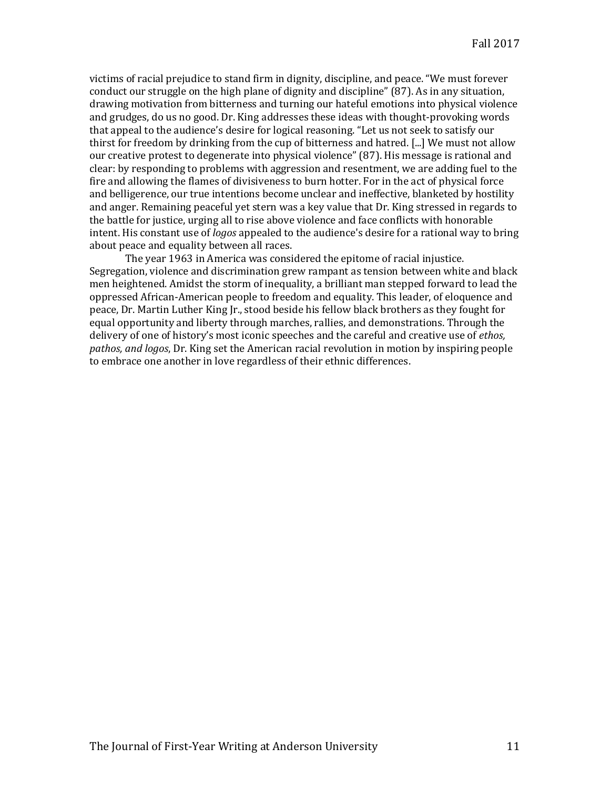victims of racial prejudice to stand firm in dignity, discipline, and peace. "We must forever conduct our struggle on the high plane of dignity and discipline" (87). As in any situation, drawing motivation from bitterness and turning our hateful emotions into physical violence and grudges, do us no good. Dr. King addresses these ideas with thought-provoking words that appeal to the audience's desire for logical reasoning. "Let us not seek to satisfy our thirst for freedom by drinking from the cup of bitterness and hatred. [...] We must not allow our creative protest to degenerate into physical violence" (87). His message is rational and clear: by responding to problems with aggression and resentment, we are adding fuel to the fire and allowing the flames of divisiveness to burn hotter. For in the act of physical force and belligerence, our true intentions become unclear and ineffective, blanketed by hostility and anger. Remaining peaceful yet stern was a key value that Dr. King stressed in regards to the battle for justice, urging all to rise above violence and face conflicts with honorable intent. His constant use of *logos* appealed to the audience's desire for a rational way to bring about peace and equality between all races.

 The year 1963 in America was considered the epitome of racial injustice. Segregation, violence and discrimination grew rampant as tension between white and black men heightened. Amidst the storm of inequality, a brilliant man stepped forward to lead the oppressed African-American people to freedom and equality. This leader, of eloquence and peace, Dr. Martin Luther King Jr., stood beside his fellow black brothers as they fought for equal opportunity and liberty through marches, rallies, and demonstrations. Through the delivery of one of history's most iconic speeches and the careful and creative use of *ethos*, *pathos, and logos*, Dr. King set the American racial revolution in motion by inspiring people to embrace one another in love regardless of their ethnic differences.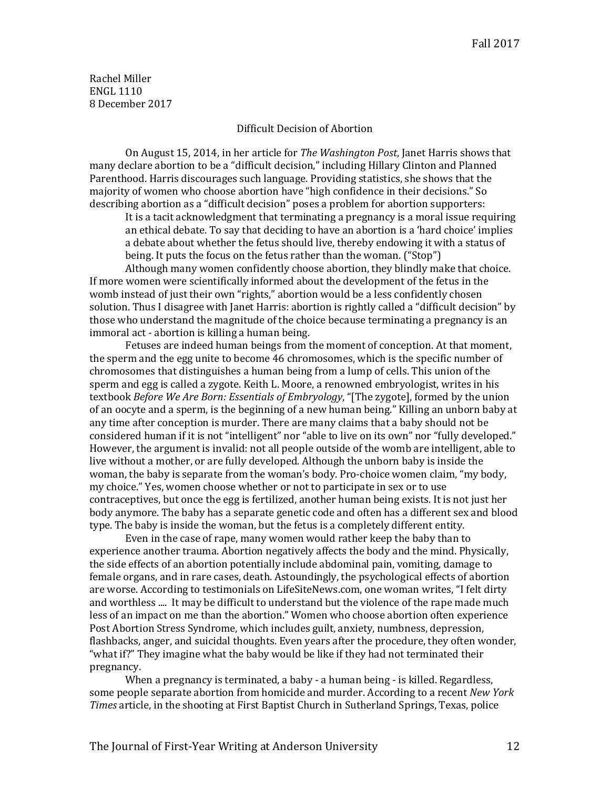Rachel Miller ENGL 1110 8 December 2017

#### Difficult Decision of Abortion

On August 15, 2014, in her article for *The Washington Post*, Janet Harris shows that many declare abortion to be a "difficult decision," including Hillary Clinton and Planned majority of women who choose abortion have "high confidence in their decisions." So describing abortion as a "difficult decision" poses a problem for abortion supporters: Parenthood. Harris discourages such language. Providing statistics, she shows that the

 It is a tacit acknowledgment that terminating a pregnancy is a moral issue requiring an ethical debate. To say that deciding to have an abortion is a 'hard choice' implies a debate about whether the fetus should live, thereby endowing it with a status of being. It puts the focus on the fetus rather than the woman. ("Stop")

Although many women confidently choose abortion, they blindly make that choice. If more women were scientifically informed about the development of the fetus in the womb instead of just their own "rights," abortion would be a less confidently chosen solution. Thus I disagree with Janet Harris: abortion is rightly called a "difficult decision" by those who understand the magnitude of the choice because terminating a pregnancy is an immoral act - abortion is killing a human being.

Fetuses are indeed human beings from the moment of conception. At that moment, the sperm and the egg unite to become 46 chromosomes, which is the specific number of chromosomes that distinguishes a human being from a lump of cells. This union of the sperm and egg is called a zygote. Keith L. Moore, a renowned embryologist, writes in his  textbook *Before We Are Born: Essentials of Embryology*, "[The zygote], formed by the union of an oocyte and a sperm, is the beginning of a new human being." Killing an unborn baby at any time after conception is murder. There are many claims that a baby should not be considered human if it is not "intelligent" nor "able to live on its own" nor "fully developed." However, the argument is invalid: not all people outside of the womb are intelligent, able to live without a mother, or are fully developed. Although the unborn baby is inside the woman, the baby is separate from the woman's body. Pro-choice women claim, "my body, my choice." Yes, women choose whether or not to participate in sex or to use contraceptives, but once the egg is fertilized, another human being exists. It is not just her body anymore. The baby has a separate genetic code and often has a different sex and blood type. The baby is inside the woman, but the fetus is a completely different entity.

Even in the case of rape, many women would rather keep the baby than to experience another trauma. Abortion negatively affects the body and the mind. Physically, the side effects of an abortion potentially include abdominal pain, vomiting, damage to female organs, and in rare cases, death. Astoundingly, the psychological effects of abortion are worse. According to testimonials on LifeSiteNews.com, one woman writes, "I felt dirty and worthless .... It may be difficult to understand but the violence of the rape made much less of an impact on me than the abortion." Women who choose abortion often experience flashbacks, anger, and suicidal thoughts. Even years after the procedure, they often wonder, "what if?" They imagine what the baby would be like if they had not terminated their Post Abortion Stress Syndrome, which includes guilt, anxiety, numbness, depression, pregnancy.

When a pregnancy is terminated, a baby - a human being - is killed. Regardless, some people separate abortion from homicide and murder. According to a recent *New York Times* article, in the shooting at First Baptist Church in Sutherland Springs, Texas, police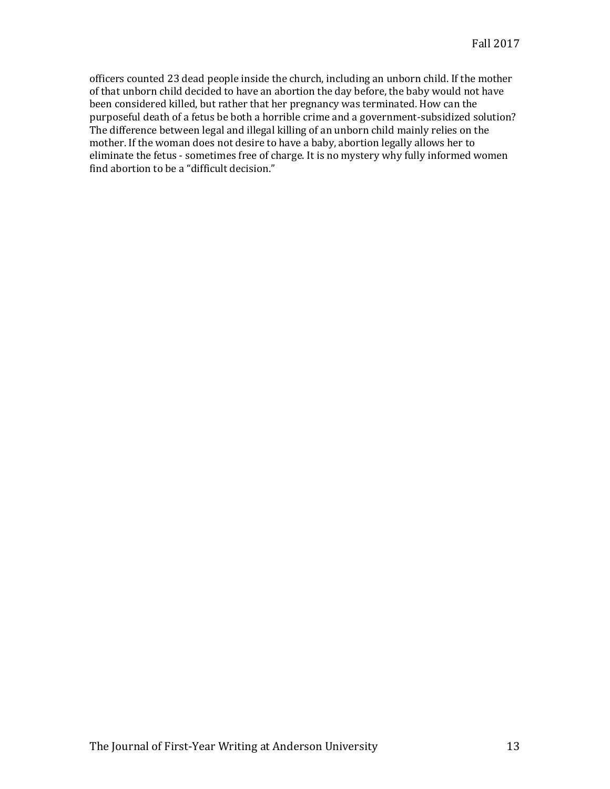officers counted 23 dead people inside the church, including an unborn child. If the mother of that unborn child decided to have an abortion the day before, the baby would not have been considered killed, but rather that her pregnancy was terminated. How can the purposeful death of a fetus be both a horrible crime and a government-subsidized solution? The difference between legal and illegal killing of an unborn child mainly relies on the mother. If the woman does not desire to have a baby, abortion legally allows her to eliminate the fetus - sometimes free of charge. It is no mystery why fully informed women find abortion to be a "difficult decision."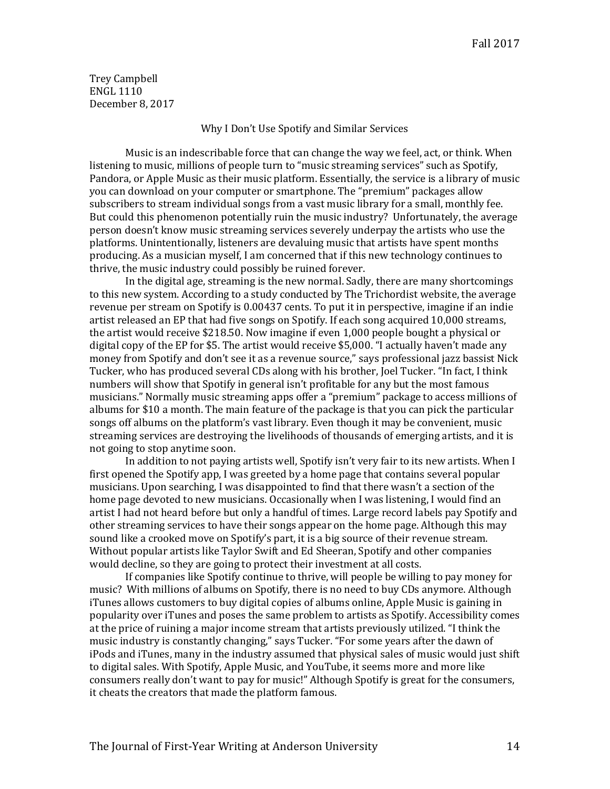December 8, 2017 Trey Campbell ENGL 1110

#### Why I Don't Use Spotify and Similar Services

 Music is an indescribable force that can change the way we feel, act, or think. When listening to music, millions of people turn to "music streaming services" such as Spotify, you can download on your computer or smartphone. The "premium" packages allow subscribers to stream individual songs from a vast music library for a small, monthly fee. But could this phenomenon potentially ruin the music industry? Unfortunately, the average person doesn't know music streaming services severely underpay the artists who use the platforms. Unintentionally, listeners are devaluing music that artists have spent months producing. As a musician myself, I am concerned that if this new technology continues to thrive, the music industry could possibly be ruined forever. Pandora, or Apple Music as their music platform. Essentially, the service is a library of music

In the digital age, streaming is the new normal. Sadly, there are many shortcomings to this new system. According to a study conducted by The Trichordist website, the average revenue per stream on Spotify is 0.00437 cents. To put it in perspective, imagine if an indie artist released an EP that had five songs on Spotify. If each song acquired 10,000 streams, the artist would receive \$218.50. Now imagine if even 1,000 people bought a physical or digital copy of the EP for \$5. The artist would receive \$5,000. "I actually haven't made any money from Spotify and don't see it as a revenue source," says professional jazz bassist Nick Tucker, who has produced several CDs along with his brother, Joel Tucker. "In fact, I think numbers will show that Spotify in general isn't profitable for any but the most famous musicians." Normally music streaming apps offer a "premium" package to access millions of albums for \$10 a month. The main feature of the package is that you can pick the particular songs off albums on the platform's vast library. Even though it may be convenient, music streaming services are destroying the livelihoods of thousands of emerging artists, and it is not going to stop anytime soon.

 In addition to not paying artists well, Spotify isn't very fair to its new artists. When I first opened the Spotify app, I was greeted by a home page that contains several popular musicians. Upon searching, I was disappointed to find that there wasn't a section of the home page devoted to new musicians. Occasionally when I was listening, I would find an artist I had not heard before but only a handful of times. Large record labels pay Spotify and other streaming services to have their songs appear on the home page. Although this may sound like a crooked move on Spotify's part, it is a big source of their revenue stream. Without popular artists like Taylor Swift and Ed Sheeran, Spotify and other companies would decline, so they are going to protect their investment at all costs.

 If companies like Spotify continue to thrive, will people be willing to pay money for music? With millions of albums on Spotify, there is no need to buy CDs anymore. Although iTunes allows customers to buy digital copies of albums online, Apple Music is gaining in popularity over iTunes and poses the same problem to artists as Spotify. Accessibility comes at the price of ruining a major income stream that artists previously utilized. "I think the music industry is constantly changing," says Tucker. "For some years after the dawn of iPods and iTunes, many in the industry assumed that physical sales of music would just shift to digital sales. With Spotify, Apple Music, and YouTube, it seems more and more like consumers really don't want to pay for music!" Although Spotify is great for the consumers, it cheats the creators that made the platform famous.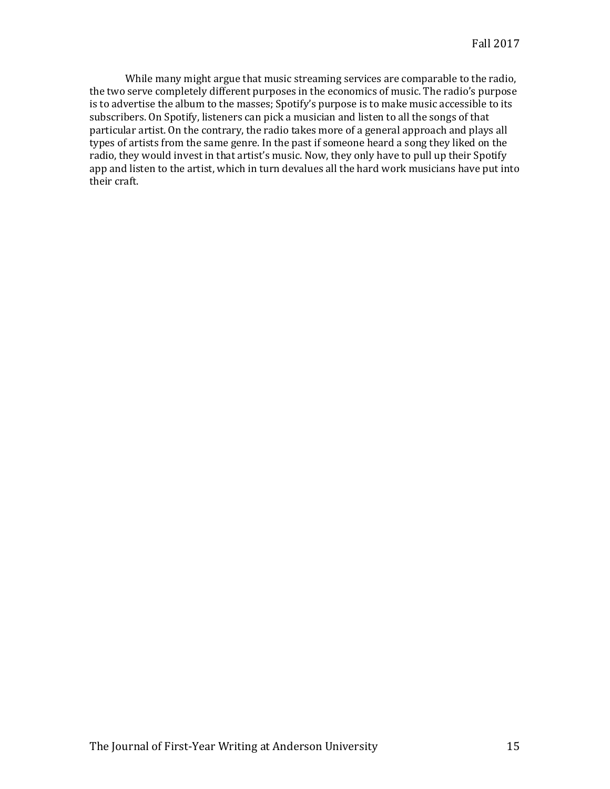While many might argue that music streaming services are comparable to the radio, the two serve completely different purposes in the economics of music. The radio's purpose is to advertise the album to the masses; Spotify's purpose is to make music accessible to its subscribers. On Spotify, listeners can pick a musician and listen to all the songs of that particular artist. On the contrary, the radio takes more of a general approach and plays all types of artists from the same genre. In the past if someone heard a song they liked on the radio, they would invest in that artist's music. Now, they only have to pull up their Spotify app and listen to the artist, which in turn devalues all the hard work musicians have put into their craft.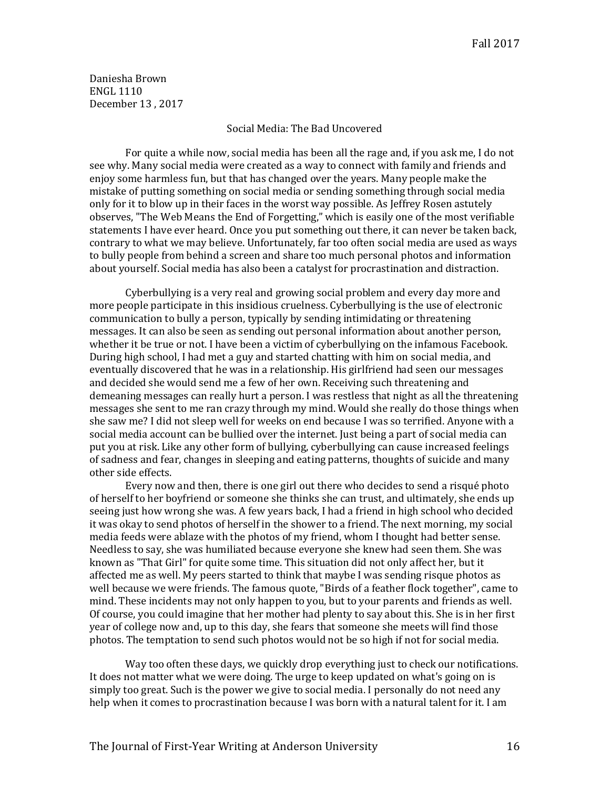ENGL 1110 December 13 , 2017 Daniesha Brown

#### Social Media: The Bad Uncovered

 For quite a while now, social media has been all the rage and, if you ask me, I do not see why. Many social media were created as a way to connect with family and friends and enjoy some harmless fun, but that has changed over the years. Many people make the mistake of putting something on social media or sending something through social media only for it to blow up in their faces in the worst way possible. As Jeffrey Rosen astutely observes, "The Web Means the End of Forgetting," which is easily one of the most verifiable statements I have ever heard. Once you put something out there, it can never be taken back, contrary to what we may believe. Unfortunately, far too often social media are used as ways to bully people from behind a screen and share too much personal photos and information about yourself. Social media has also been a catalyst for procrastination and distraction.

Cyberbullying is a very real and growing social problem and every day more and more people participate in this insidious cruelness. Cyberbullying is the use of electronic communication to bully a person, typically by sending intimidating or threatening messages. It can also be seen as sending out personal information about another person, whether it be true or not. I have been a victim of cyberbullying on the infamous Facebook. During high school, I had met a guy and started chatting with him on social media, and eventually discovered that he was in a relationship. His girlfriend had seen our messages and decided she would send me a few of her own. Receiving such threatening and demeaning messages can really hurt a person. I was restless that night as all the threatening messages she sent to me ran crazy through my mind. Would she really do those things when she saw me? I did not sleep well for weeks on end because I was so terrified. Anyone with a social media account can be bullied over the internet. Just being a part of social media can put you at risk. Like any other form of bullying, cyberbullying can cause increased feelings of sadness and fear, changes in sleeping and eating patterns, thoughts of suicide and many other side effects.

Every now and then, there is one girl out there who decides to send a risqué photo of herself to her boyfriend or someone she thinks she can trust, and ultimately, she ends up seeing just how wrong she was. A few years back, I had a friend in high school who decided it was okay to send photos of herself in the shower to a friend. The next morning, my social media feeds were ablaze with the photos of my friend, whom I thought had better sense. Needless to say, she was humiliated because everyone she knew had seen them. She was known as "That Girl" for quite some time. This situation did not only affect her, but it affected me as well. My peers started to think that maybe I was sending risque photos as well because we were friends. The famous quote, "Birds of a feather flock together", came to mind. These incidents may not only happen to you, but to your parents and friends as well. Of course, you could imagine that her mother had plenty to say about this. She is in her first year of college now and, up to this day, she fears that someone she meets will find those photos. The temptation to send such photos would not be so high if not for social media.

 Way too often these days, we quickly drop everything just to check our notifications. It does not matter what we were doing. The urge to keep updated on what's going on is simply too great. Such is the power we give to social media. I personally do not need any help when it comes to procrastination because I was born with a natural talent for it. I am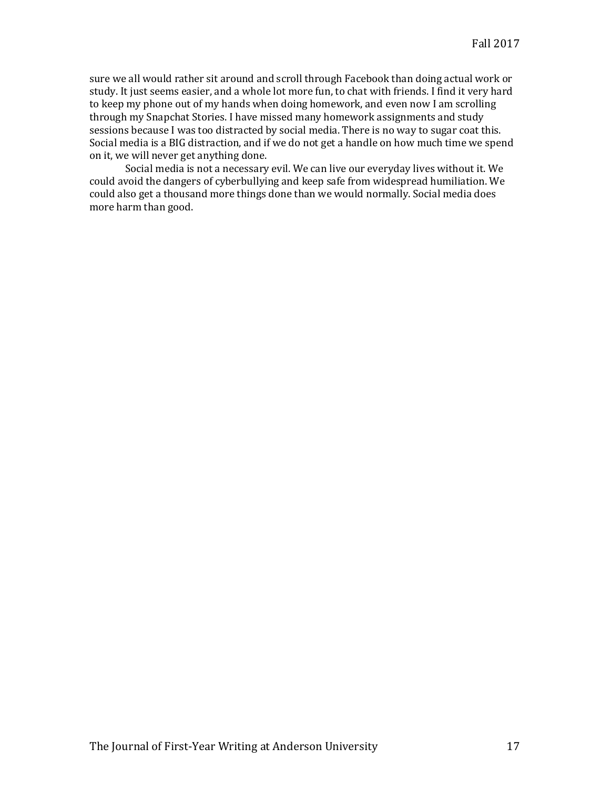sure we all would rather sit around and scroll through Facebook than doing actual work or study. It just seems easier, and a whole lot more fun, to chat with friends. I find it very hard to keep my phone out of my hands when doing homework, and even now I am scrolling through my Snapchat Stories. I have missed many homework assignments and study sessions because I was too distracted by social media. There is no way to sugar coat this. Social media is a BIG distraction, and if we do not get a handle on how much time we spend on it, we will never get anything done.

 Social media is not a necessary evil. We can live our everyday lives without it. We could avoid the dangers of cyberbullying and keep safe from widespread humiliation. We could also get a thousand more things done than we would normally. Social media does more harm than good.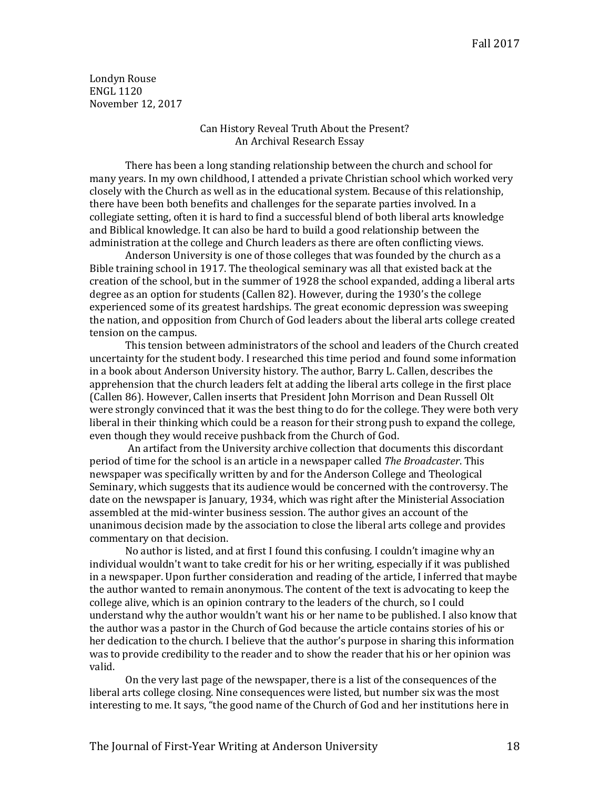ENGL 1120 November 12, 2017 Londyn Rouse

## Can History Reveal Truth About the Present? An Archival Research Essay

 There has been a long standing relationship between the church and school for many years. In my own childhood, I attended a private Christian school which worked very closely with the Church as well as in the educational system. Because of this relationship, there have been both benefits and challenges for the separate parties involved. In a collegiate setting, often it is hard to find a successful blend of both liberal arts knowledge and Biblical knowledge. It can also be hard to build a good relationship between the administration at the college and Church leaders as there are often conflicting views.

Anderson University is one of those colleges that was founded by the church as a Bible training school in 1917. The theological seminary was all that existed back at the creation of the school, but in the summer of 1928 the school expanded, adding a liberal arts degree as an option for students (Callen 82). However, during the 1930's the college experienced some of its greatest hardships. The great economic depression was sweeping the nation, and opposition from Church of God leaders about the liberal arts college created tension on the campus.

 This tension between administrators of the school and leaders of the Church created uncertainty for the student body. I researched this time period and found some information in a book about Anderson University history. The author, Barry L. Callen, describes the apprehension that the church leaders felt at adding the liberal arts college in the first place (Callen 86). However, Callen inserts that President John Morrison and Dean Russell Olt were strongly convinced that it was the best thing to do for the college. They were both very liberal in their thinking which could be a reason for their strong push to expand the college, even though they would receive pushback from the Church of God.

An artifact from the University archive collection that documents this discordant period of time for the school is an article in a newspaper called *The Broadcaster*. This newspaper was specifically written by and for the Anderson College and Theological Seminary, which suggests that its audience would be concerned with the controversy. The date on the newspaper is January, 1934, which was right after the Ministerial Association assembled at the mid-winter business session. The author gives an account of the unanimous decision made by the association to close the liberal arts college and provides commentary on that decision.

 No author is listed, and at first I found this confusing. I couldn't imagine why an individual wouldn't want to take credit for his or her writing, especially if it was published in a newspaper. Upon further consideration and reading of the article, I inferred that maybe the author wanted to remain anonymous. The content of the text is advocating to keep the college alive, which is an opinion contrary to the leaders of the church, so I could understand why the author wouldn't want his or her name to be published. I also know that the author was a pastor in the Church of God because the article contains stories of his or her dedication to the church. I believe that the author's purpose in sharing this information was to provide credibility to the reader and to show the reader that his or her opinion was valid.

 On the very last page of the newspaper, there is a list of the consequences of the liberal arts college closing. Nine consequences were listed, but number six was the most interesting to me. It says, "the good name of the Church of God and her institutions here in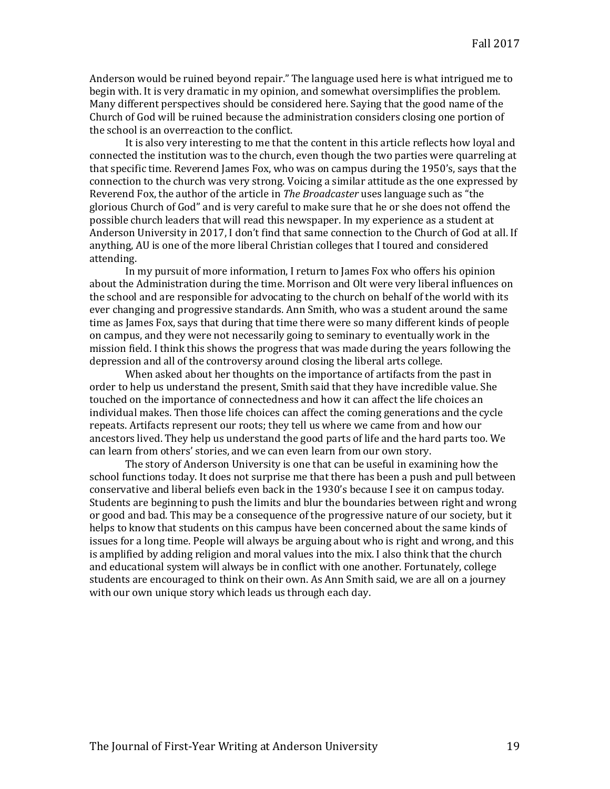Anderson would be ruined beyond repair." The language used here is what intrigued me to begin with. It is very dramatic in my opinion, and somewhat oversimplifies the problem. Many different perspectives should be considered here. Saying that the good name of the Church of God will be ruined because the administration considers closing one portion of the school is an overreaction to the conflict.

 It is also very interesting to me that the content in this article reflects how loyal and connected the institution was to the church, even though the two parties were quarreling at that specific time. Reverend James Fox, who was on campus during the 1950's, says that the connection to the church was very strong. Voicing a similar attitude as the one expressed by Reverend Fox, the author of the article in *The Broadcaster* uses language such as "the glorious Church of God" and is very careful to make sure that he or she does not offend the possible church leaders that will read this newspaper. In my experience as a student at Anderson University in 2017, I don't find that same connection to the Church of God at all. If anything, AU is one of the more liberal Christian colleges that I toured and considered attending.

In my pursuit of more information, I return to James Fox who offers his opinion about the Administration during the time. Morrison and Olt were very liberal influences on the school and are responsible for advocating to the church on behalf of the world with its ever changing and progressive standards. Ann Smith, who was a student around the same time as James Fox, says that during that time there were so many different kinds of people on campus, and they were not necessarily going to seminary to eventually work in the mission field. I think this shows the progress that was made during the years following the depression and all of the controversy around closing the liberal arts college.

 When asked about her thoughts on the importance of artifacts from the past in order to help us understand the present, Smith said that they have incredible value. She touched on the importance of connectedness and how it can affect the life choices an individual makes. Then those life choices can affect the coming generations and the cycle repeats. Artifacts represent our roots; they tell us where we came from and how our ancestors lived. They help us understand the good parts of life and the hard parts too. We can learn from others' stories, and we can even learn from our own story.

The story of Anderson University is one that can be useful in examining how the school functions today. It does not surprise me that there has been a push and pull between conservative and liberal beliefs even back in the 1930's because I see it on campus today. Students are beginning to push the limits and blur the boundaries between right and wrong or good and bad. This may be a consequence of the progressive nature of our society, but it helps to know that students on this campus have been concerned about the same kinds of issues for a long time. People will always be arguing about who is right and wrong, and this is amplified by adding religion and moral values into the mix. I also think that the church and educational system will always be in conflict with one another. Fortunately, college students are encouraged to think on their own. As Ann Smith said, we are all on a journey with our own unique story which leads us through each day.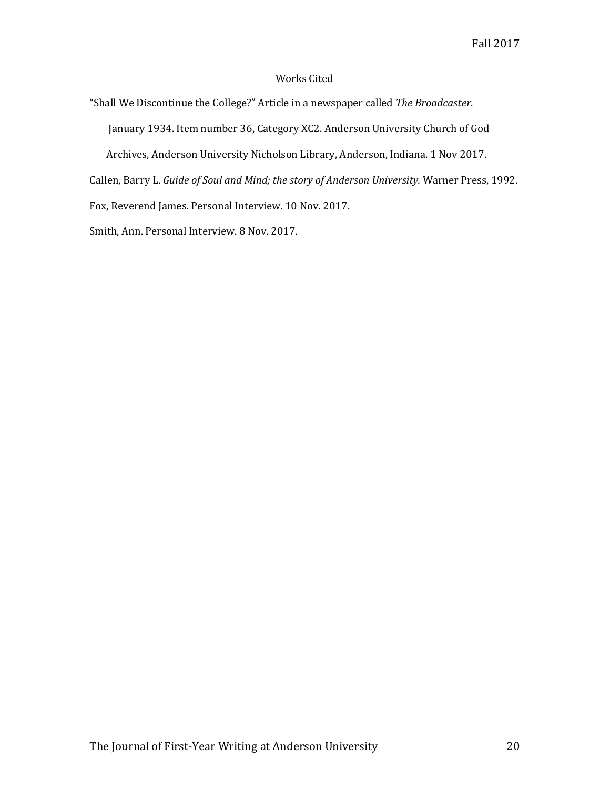#### Works Cited

 "Shall We Discontinue the College?" Article in a newspaper called *The Broadcaster*. 

January 1934. Item number 36, Category XC2. Anderson University Church of God

Archives, Anderson University Nicholson Library, Anderson, Indiana. 1 Nov 2017.

  Callen, Barry L. *Guide of Soul and Mind; the story of Anderson University.* Warner Press, 1992.

 Fox, Reverend James. Personal Interview. 10 Nov. 2017.

 Smith, Ann. Personal Interview. 8 Nov. 2017.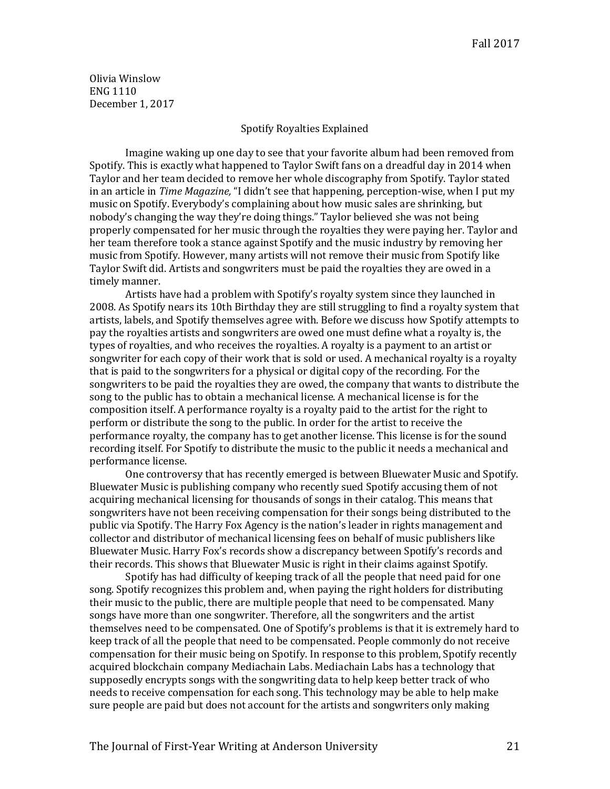December 1, 2017 Olivia Winslow ENG 1110

#### Spotify Royalties Explained

 Imagine waking up one day to see that your favorite album had been removed from Spotify. This is exactly what happened to Taylor Swift fans on a dreadful day in 2014 when Taylor and her team decided to remove her whole discography from Spotify. Taylor stated in an article in *Time Magazine,* "I didn't see that happening, perception-wise, when I put my music on Spotify. Everybody's complaining about how music sales are shrinking, but nobody's changing the way they're doing things." Taylor believed she was not being properly compensated for her music through the royalties they were paying her. Taylor and her team therefore took a stance against Spotify and the music industry by removing her music from Spotify. However, many artists will not remove their music from Spotify like Taylor Swift did. Artists and songwriters must be paid the royalties they are owed in a timely manner.

 Artists have had a problem with Spotify's royalty system since they launched in 2008. As Spotify nears its 10th Birthday they are still struggling to find a royalty system that artists, labels, and Spotify themselves agree with. Before we discuss how Spotify attempts to pay the royalties artists and songwriters are owed one must define what a royalty is, the types of royalties, and who receives the royalties. A royalty is a payment to an artist or songwriter for each copy of their work that is sold or used. A mechanical royalty is a royalty that is paid to the songwriters for a physical or digital copy of the recording. For the songwriters to be paid the royalties they are owed, the company that wants to distribute the song to the public has to obtain a mechanical license. A mechanical license is for the composition itself. A performance royalty is a royalty paid to the artist for the right to perform or distribute the song to the public. In order for the artist to receive the performance royalty, the company has to get another license. This license is for the sound recording itself. For Spotify to distribute the music to the public it needs a mechanical and performance license.

 One controversy that has recently emerged is between Bluewater Music and Spotify. Bluewater Music is publishing company who recently sued Spotify accusing them of not acquiring mechanical licensing for thousands of songs in their catalog. This means that songwriters have not been receiving compensation for their songs being distributed to the public via Spotify. The Harry Fox Agency is the nation's leader in rights management and collector and distributor of mechanical licensing fees on behalf of music publishers like Bluewater Music. Harry Fox's records show a discrepancy between Spotify's records and their records. This shows that Bluewater Music is right in their claims against Spotify.

 Spotify has had difficulty of keeping track of all the people that need paid for one song. Spotify recognizes this problem and, when paying the right holders for distributing their music to the public, there are multiple people that need to be compensated. Many songs have more than one songwriter. Therefore, all the songwriters and the artist themselves need to be compensated. One of Spotify's problems is that it is extremely hard to compensation for their music being on Spotify. In response to this problem, Spotify recently acquired blockchain company Mediachain Labs. Mediachain Labs has a technology that supposedly encrypts songs with the songwriting data to help keep better track of who needs to receive compensation for each song. This technology may be able to help make sure people are paid but does not account for the artists and songwriters only making keep track of all the people that need to be compensated. People commonly do not receive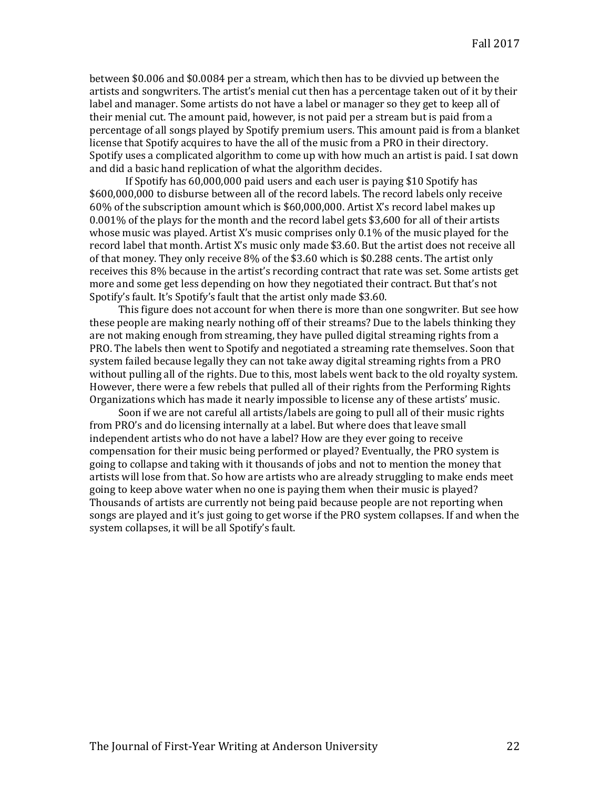between \$0.006 and \$0.0084 per a stream, which then has to be divvied up between the artists and songwriters. The artist's menial cut then has a percentage taken out of it by their label and manager. Some artists do not have a label or manager so they get to keep all of their menial cut. The amount paid, however, is not paid per a stream but is paid from a percentage of all songs played by Spotify premium users. This amount paid is from a blanket license that Spotify acquires to have the all of the music from a PRO in their directory. Spotify uses a complicated algorithm to come up with how much an artist is paid. I sat down and did a basic hand replication of what the algorithm decides.

 If Spotify has 60,000,000 paid users and each user is paying \$10 Spotify has \$600,000,000 to disburse between all of the record labels. The record labels only receive 60% of the subscription amount which is \$60,000,000. Artist X's record label makes up 0.001% of the plays for the month and the record label gets \$3,600 for all of their artists whose music was played. Artist X's music comprises only 0.1% of the music played for the record label that month. Artist X's music only made \$3.60. But the artist does not receive all of that money. They only receive 8% of the \$3.60 which is \$0.288 cents. The artist only receives this 8% because in the artist's recording contract that rate was set. Some artists get more and some get less depending on how they negotiated their contract. But that's not Spotify's fault. It's Spotify's fault that the artist only made \$3.60.

 This figure does not account for when there is more than one songwriter. But see how these people are making nearly nothing off of their streams? Due to the labels thinking they are not making enough from streaming, they have pulled digital streaming rights from a system failed because legally they can not take away digital streaming rights from a PRO without pulling all of the rights. Due to this, most labels went back to the old royalty system. However, there were a few rebels that pulled all of their rights from the Performing Rights Organizations which has made it nearly impossible to license any of these artists' music. PRO. The labels then went to Spotify and negotiated a streaming rate themselves. Soon that

Soon if we are not careful all artists/labels are going to pull all of their music rights from PRO's and do licensing internally at a label. But where does that leave small independent artists who do not have a label? How are they ever going to receive compensation for their music being performed or played? Eventually, the PRO system is going to collapse and taking with it thousands of jobs and not to mention the money that artists will lose from that. So how are artists who are already struggling to make ends meet going to keep above water when no one is paying them when their music is played? Thousands of artists are currently not being paid because people are not reporting when songs are played and it's just going to get worse if the PRO system collapses. If and when the system collapses, it will be all Spotify's fault.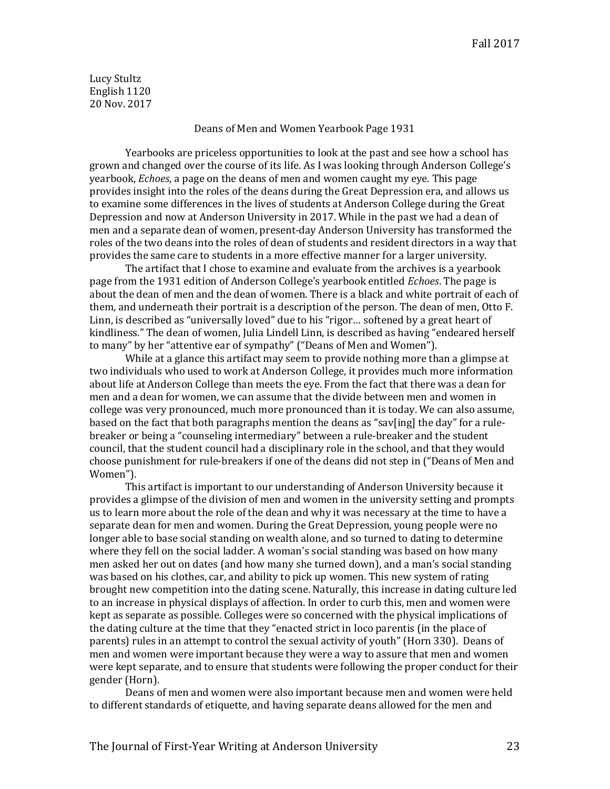Lucy Stultz English 1120 20 Nov. 2017

#### Deans of Men and Women Yearbook Page 1931

 Yearbooks are priceless opportunities to look at the past and see how a school has grown and changed over the course of its life. As I was looking through Anderson College's yearbook, *Echoes*, a page on the deans of men and women caught my eye. This page provides insight into the roles of the deans during the Great Depression era, and allows us to examine some differences in the lives of students at Anderson College during the Great Depression and now at Anderson University in 2017. While in the past we had a dean of men and a separate dean of women, present-day Anderson University has transformed the roles of the two deans into the roles of dean of students and resident directors in a way that provides the same care to students in a more effective manner for a larger university.

The artifact that I chose to examine and evaluate from the archives is a yearbook page from the 1931 edition of Anderson College's yearbook entitled *Echoes*. The page is about the dean of men and the dean of women. There is a black and white portrait of each of them, and underneath their portrait is a description of the person. The dean of men, Otto F. Linn, is described as "universally loved" due to his "rigor… softened by a great heart of kindliness." The dean of women, Julia Lindell Linn, is described as having "endeared herself to many" by her "attentive ear of sympathy" ("Deans of Men and Women").

 While at a glance this artifact may seem to provide nothing more than a glimpse at two individuals who used to work at Anderson College, it provides much more information about life at Anderson College than meets the eye. From the fact that there was a dean for men and a dean for women, we can assume that the divide between men and women in college was very pronounced, much more pronounced than it is today. We can also assume, based on the fact that both paragraphs mention the deans as "sav[ing] the day" for a rule- breaker or being a "counseling intermediary" between a rule-breaker and the student council, that the student council had a disciplinary role in the school, and that they would choose punishment for rule-breakers if one of the deans did not step in ("Deans of Men and Women").

 This artifact is important to our understanding of Anderson University because it provides a glimpse of the division of men and women in the university setting and prompts us to learn more about the role of the dean and why it was necessary at the time to have a separate dean for men and women. During the Great Depression, young people were no longer able to base social standing on wealth alone, and so turned to dating to determine where they fell on the social ladder. A woman's social standing was based on how many men asked her out on dates (and how many she turned down), and a man's social standing was based on his clothes, car, and ability to pick up women. This new system of rating brought new competition into the dating scene. Naturally, this increase in dating culture led to an increase in physical displays of affection. In order to curb this, men and women were kept as separate as possible. Colleges were so concerned with the physical implications of the dating culture at the time that they "enacted strict in loco parentis (in the place of parents) rules in an attempt to control the sexual activity of youth" (Horn 330). Deans of men and women were important because they were a way to assure that men and women were kept separate, and to ensure that students were following the proper conduct for their gender (Horn).

Deans of men and women were also important because men and women were held to different standards of etiquette, and having separate deans allowed for the men and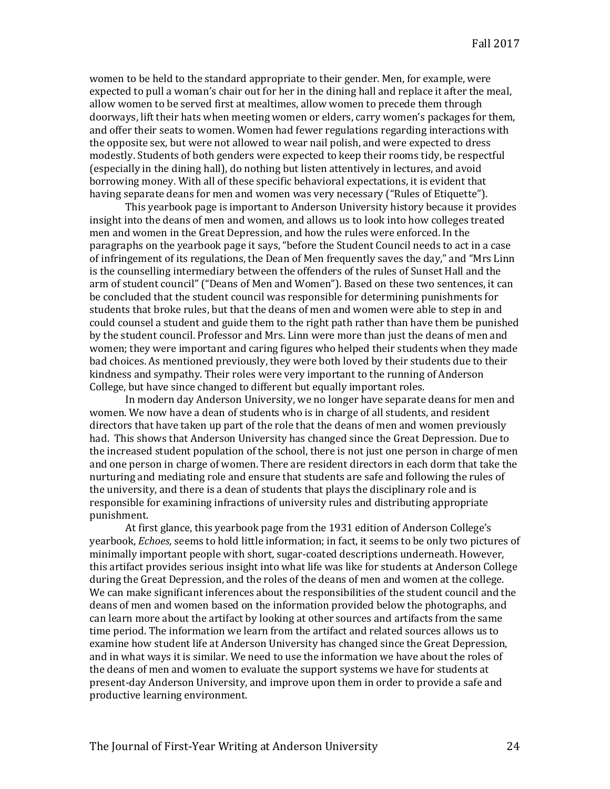women to be held to the standard appropriate to their gender. Men, for example, were expected to pull a woman's chair out for her in the dining hall and replace it after the meal, allow women to be served first at mealtimes, allow women to precede them through doorways, lift their hats when meeting women or elders, carry women's packages for them, and offer their seats to women. Women had fewer regulations regarding interactions with the opposite sex, but were not allowed to wear nail polish, and were expected to dress modestly. Students of both genders were expected to keep their rooms tidy, be respectful (especially in the dining hall), do nothing but listen attentively in lectures, and avoid borrowing money. With all of these specific behavioral expectations, it is evident that having separate deans for men and women was very necessary ("Rules of Etiquette").

This yearbook page is important to Anderson University history because it provides insight into the deans of men and women, and allows us to look into how colleges treated men and women in the Great Depression, and how the rules were enforced. In the paragraphs on the yearbook page it says, "before the Student Council needs to act in a case of infringement of its regulations, the Dean of Men frequently saves the day," and "Mrs Linn is the counselling intermediary between the offenders of the rules of Sunset Hall and the arm of student council" ("Deans of Men and Women"). Based on these two sentences, it can be concluded that the student council was responsible for determining punishments for students that broke rules, but that the deans of men and women were able to step in and could counsel a student and guide them to the right path rather than have them be punished by the student council. Professor and Mrs. Linn were more than just the deans of men and women; they were important and caring figures who helped their students when they made bad choices. As mentioned previously, they were both loved by their students due to their kindness and sympathy. Their roles were very important to the running of Anderson College, but have since changed to different but equally important roles.

 In modern day Anderson University, we no longer have separate deans for men and women. We now have a dean of students who is in charge of all students, and resident directors that have taken up part of the role that the deans of men and women previously had. This shows that Anderson University has changed since the Great Depression. Due to the increased student population of the school, there is not just one person in charge of men and one person in charge of women. There are resident directors in each dorm that take the nurturing and mediating role and ensure that students are safe and following the rules of the university, and there is a dean of students that plays the disciplinary role and is responsible for examining infractions of university rules and distributing appropriate punishment.

At first glance, this yearbook page from the 1931 edition of Anderson College's yearbook, *Echoes,* seems to hold little information; in fact, it seems to be only two pictures of minimally important people with short, sugar-coated descriptions underneath. However, this artifact provides serious insight into what life was like for students at Anderson College during the Great Depression, and the roles of the deans of men and women at the college. We can make significant inferences about the responsibilities of the student council and the deans of men and women based on the information provided below the photographs, and can learn more about the artifact by looking at other sources and artifacts from the same time period. The information we learn from the artifact and related sources allows us to examine how student life at Anderson University has changed since the Great Depression, and in what ways it is similar. We need to use the information we have about the roles of the deans of men and women to evaluate the support systems we have for students at present-day Anderson University, and improve upon them in order to provide a safe and productive learning environment.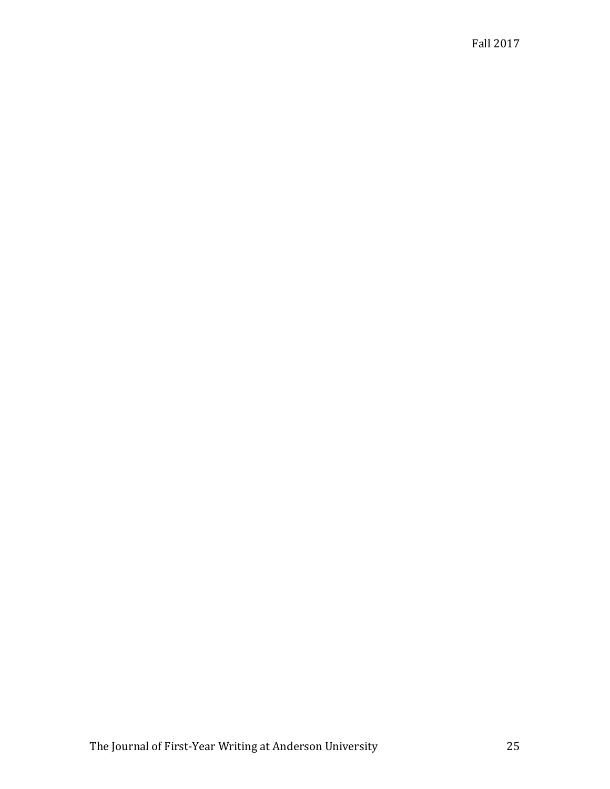# Fall 2017